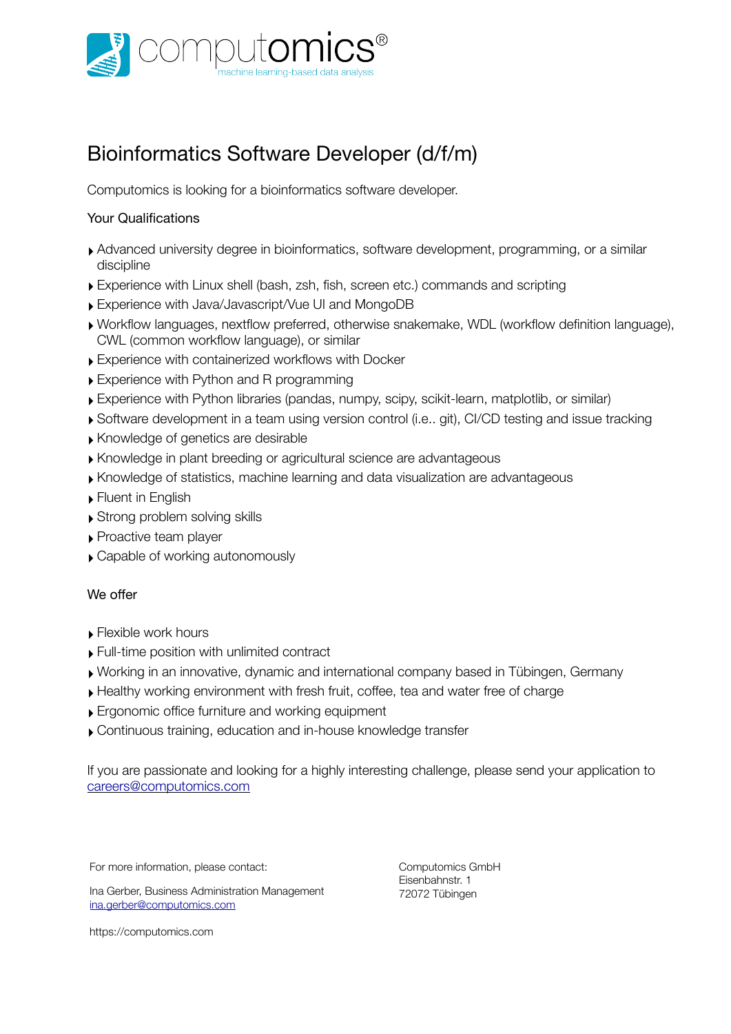

# Bioinformatics Software Developer (d/f/m)

Computomics is looking for a bioinformatics software developer.

#### Your Qualifications

- ‣ Advanced university degree in bioinformatics, software development, programming, or a similar discipline
- ‣ Experience with Linux shell (bash, zsh, fish, screen etc.) commands and scripting
- ‣ Experience with Java/Javascript/Vue UI and MongoDB
- ‣ Workflow languages, nextflow preferred, otherwise snakemake, WDL (workflow definition language), CWL (common workflow language), or similar
- ‣ Experience with containerized workflows with Docker
- ‣ Experience with Python and R programming
- ‣ Experience with Python libraries (pandas, numpy, scipy, scikit-learn, matplotlib, or similar)
- ‣ Software development in a team using version control (i.e.. git), CI/CD testing and issue tracking
- ‣ Knowledge of genetics are desirable
- ‣ Knowledge in plant breeding or agricultural science are advantageous
- ‣ Knowledge of statistics, machine learning and data visualization are advantageous
- ‣ Fluent in English
- ‣ Strong problem solving skills
- ▶ Proactive team player
- ‣ Capable of working autonomously

#### We offer

- ‣ Flexible work hours
- ‣ Full-time position with unlimited contract
- ‣ Working in an innovative, dynamic and international company based in Tübingen, Germany
- ‣ Healthy working environment with fresh fruit, coffee, tea and water free of charge
- ‣ Ergonomic office furniture and working equipment
- ‣ Continuous training, education and in-house knowledge transfer

If you are passionate and looking for a highly interesting challenge, please send your application to [careers@computomics.com](mailto:careers@computomics.com)

For more information, please contact:

Ina Gerber, Business Administration Management [ina.gerber@computomics.com](mailto:ina.gerber@computomics.com)

Computomics GmbH Eisenbahnstr. 1 72072 Tübingen

<https://computomics.com>